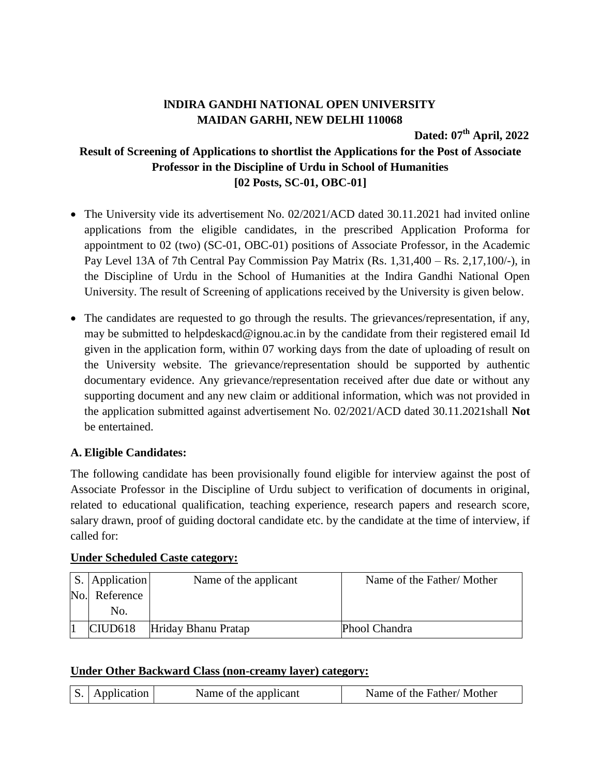## **lNDIRA GANDHI NATIONAL OPEN UNIVERSITY MAIDAN GARHI, NEW DELHI 110068**

**Dated: 07 th April, 2022**

# **Result of Screening of Applications to shortlist the Applications for the Post of Associate Professor in the Discipline of Urdu in School of Humanities [02 Posts, SC-01, OBC-01]**

- The University vide its advertisement No. 02/2021/ACD dated 30.11.2021 had invited online applications from the eligible candidates, in the prescribed Application Proforma for appointment to 02 (two) (SC-01, OBC-01) positions of Associate Professor, in the Academic Pay Level 13A of 7th Central Pay Commission Pay Matrix (Rs. 1,31,400 – Rs. 2,17,100/-), in the Discipline of Urdu in the School of Humanities at the Indira Gandhi National Open University. The result of Screening of applications received by the University is given below.
- The candidates are requested to go through the results. The grievances/representation, if any, may be submitted to helpdeskacd@ignou.ac.in by the candidate from their registered email Id given in the application form, within 07 working days from the date of uploading of result on the University website. The grievance/representation should be supported by authentic documentary evidence. Any grievance/representation received after due date or without any supporting document and any new claim or additional information, which was not provided in the application submitted against advertisement No. 02/2021/ACD dated 30.11.2021shall **Not** be entertained.

### **A. Eligible Candidates:**

The following candidate has been provisionally found eligible for interview against the post of Associate Professor in the Discipline of Urdu subject to verification of documents in original, related to educational qualification, teaching experience, research papers and research score, salary drawn, proof of guiding doctoral candidate etc. by the candidate at the time of interview, if called for:

| S. Application      | Name of the applicant | Name of the Father/Mother |
|---------------------|-----------------------|---------------------------|
| No. Reference       |                       |                           |
| No.                 |                       |                           |
| CIUD <sub>618</sub> | Hriday Bhanu Pratap   | Phool Chandra             |

### **Under Scheduled Caste category:**

#### **Under Other Backward Class (non-creamy layer) category:**

| S. Application<br>Name of the applicant |  | Name of the Father/Mother |
|-----------------------------------------|--|---------------------------|
|                                         |  |                           |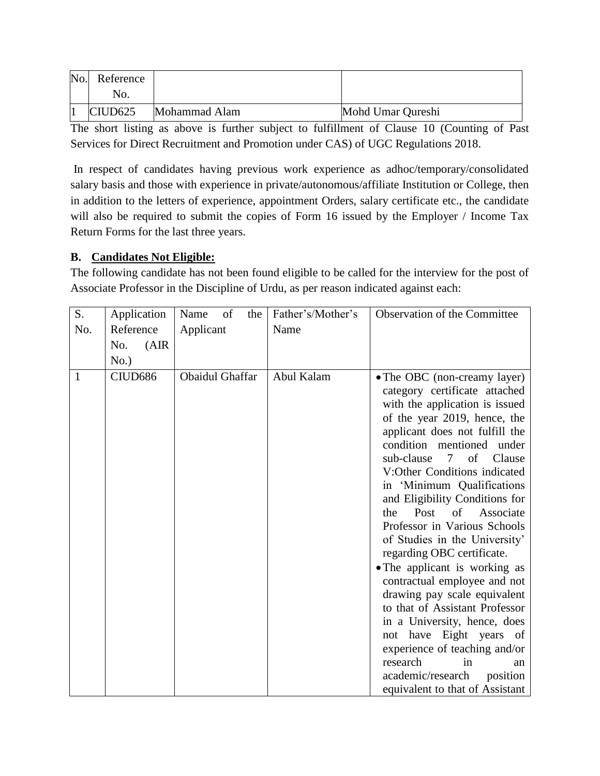| No. | Reference           |               |                   |
|-----|---------------------|---------------|-------------------|
|     | No.                 |               |                   |
|     | CIUD <sub>625</sub> | Mohammad Alam | Mohd Umar Qureshi |

The short listing as above is further subject to fulfillment of Clause 10 (Counting of Past Services for Direct Recruitment and Promotion under CAS) of UGC Regulations 2018.

In respect of candidates having previous work experience as adhoc/temporary/consolidated salary basis and those with experience in private/autonomous/affiliate Institution or College, then in addition to the letters of experience, appointment Orders, salary certificate etc., the candidate will also be required to submit the copies of Form 16 issued by the Employer / Income Tax Return Forms for the last three years.

### **B. Candidates Not Eligible:**

The following candidate has not been found eligible to be called for the interview for the post of Associate Professor in the Discipline of Urdu, as per reason indicated against each:

| S.  | Application  | of<br>the<br>Name      | Father's/Mother's | Observation of the Committee                                                                                                                                                                                                                                                                                                                                                                                                                                                                                                                                                                                                                                                                                                                                                                                   |
|-----|--------------|------------------------|-------------------|----------------------------------------------------------------------------------------------------------------------------------------------------------------------------------------------------------------------------------------------------------------------------------------------------------------------------------------------------------------------------------------------------------------------------------------------------------------------------------------------------------------------------------------------------------------------------------------------------------------------------------------------------------------------------------------------------------------------------------------------------------------------------------------------------------------|
| No. | Reference    | Applicant              | Name              |                                                                                                                                                                                                                                                                                                                                                                                                                                                                                                                                                                                                                                                                                                                                                                                                                |
|     | (AIR)<br>No. |                        |                   |                                                                                                                                                                                                                                                                                                                                                                                                                                                                                                                                                                                                                                                                                                                                                                                                                |
|     | No.)         |                        |                   |                                                                                                                                                                                                                                                                                                                                                                                                                                                                                                                                                                                                                                                                                                                                                                                                                |
| 1   | CIUD686      | <b>Obaidul Ghaffar</b> | Abul Kalam        | • The OBC (non-creamy layer)<br>category certificate attached<br>with the application is issued<br>of the year 2019, hence, the<br>applicant does not fulfill the<br>condition mentioned<br>under<br>Clause<br>sub-clause<br>$7\overline{ }$<br>of<br>V:Other Conditions indicated<br>in 'Minimum Qualifications<br>and Eligibility Conditions for<br>of<br>Post<br>Associate<br>the<br>Professor in Various Schools<br>of Studies in the University'<br>regarding OBC certificate.<br>• The applicant is working as<br>contractual employee and not<br>drawing pay scale equivalent<br>to that of Assistant Professor<br>in a University, hence, does<br>not have Eight years of<br>experience of teaching and/or<br>research<br>in<br>an<br>academic/research<br>position<br>equivalent to that of Assistant |